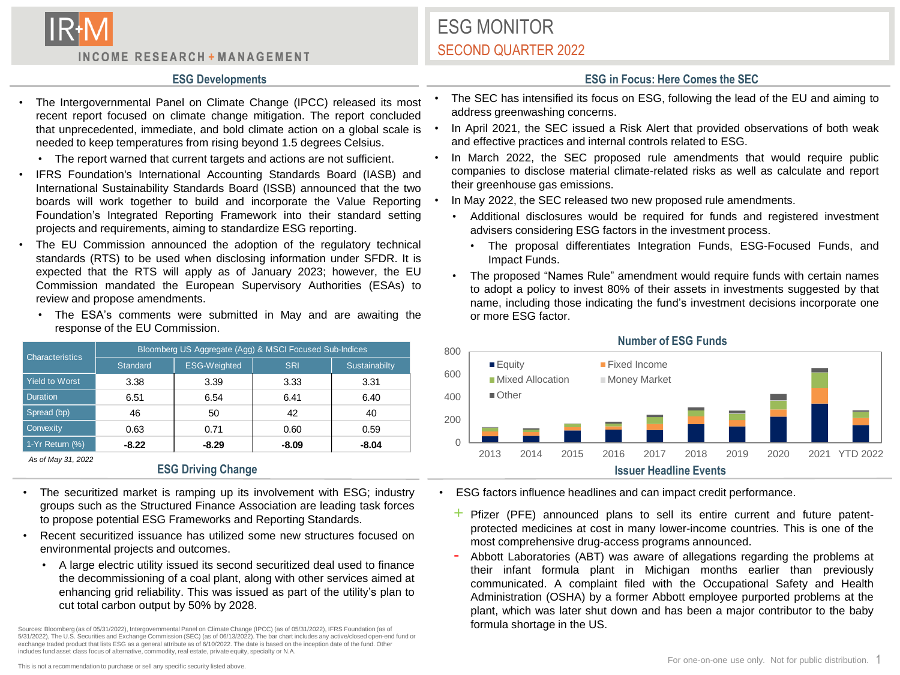

INCOME RESEARCH + MANAGEMENT

## ESG MONITOR SECOND QUARTER 2022

- The Intergovernmental Panel on Climate Change (IPCC) released its most recent report focused on climate change mitigation. The report concluded that unprecedented, immediate, and bold climate action on a global scale is needed to keep temperatures from rising beyond 1.5 degrees Celsius.
	- The report warned that current targets and actions are not sufficient.
- IFRS Foundation's International Accounting Standards Board (IASB) and International Sustainability Standards Board (ISSB) announced that the two boards will work together to build and incorporate the Value Reporting Foundation's Integrated Reporting Framework into their standard setting projects and requirements, aiming to standardize ESG reporting.
- The EU Commission announced the adoption of the regulatory technical standards (RTS) to be used when disclosing information under SFDR. It is expected that the RTS will apply as of January 2023; however, the EU Commission mandated the European Supervisory Authorities (ESAs) to review and propose amendments.
	- The ESA's comments were submitted in May and are awaiting the response of the EU Commission.

| <b>Characteristics</b> | Bloomberg US Aggregate (Agg) & MSCI Focused Sub-Indices |                     |            |               |
|------------------------|---------------------------------------------------------|---------------------|------------|---------------|
|                        | Standard                                                | <b>ESG-Weighted</b> | <b>SRI</b> | Sustainabilty |
| <b>Yield to Worst</b>  | 3.38                                                    | 3.39                | 3.33       | 3.31          |
| <b>Duration</b>        | 6.51                                                    | 6.54                | 6.41       | 6.40          |
| Spread (bp)            | 46                                                      | 50                  | 42         | 40            |
| Convexity              | 0.63                                                    | 0.71                | 0.60       | 0.59          |
| 1-Yr Return (%)        | $-8.22$                                                 | $-8.29$             | $-8.09$    | $-8.04$       |

*As of May 31, 2022*

- The securitized market is ramping up its involvement with ESG; industry groups such as the Structured Finance Association are leading task forces to propose potential ESG Frameworks and Reporting Standards.
- Recent securitized issuance has utilized some new structures focused on environmental projects and outcomes.
	- A large electric utility issued its second securitized deal used to finance the decommissioning of a coal plant, along with other services aimed at enhancing grid reliability. This was issued as part of the utility's plan to cut total carbon output by 50% by 2028.

Sources: Bloomberg (as of 05/31/2022), Intergovernmental Panel on Climate Change (IPCC) (as of 05/31/2022), IFRS Foundation (as of 5/31/2022), The U.S. Securities and Exchange Commission (SEC) (as of 06/13/2022). The bar chart includes any active/closed open-end fund or exchange traded product that lists ESG as a general attribute as of 6/10/2022. The date is based on the inception date of the fund. Other includes fund asset class focus of alternative, commodity, real estate, private equity, specialty or N.A.

- The SEC has intensified its focus on ESG, following the lead of the EU and aiming to address greenwashing concerns.
- In April 2021, the SEC issued a Risk Alert that provided observations of both weak and effective practices and internal controls related to ESG.
- In March 2022, the SEC proposed rule amendments that would require public companies to disclose material climate-related risks as well as calculate and report their greenhouse gas emissions.
- In May 2022, the SEC released two new proposed rule amendments.
	- Additional disclosures would be required for funds and registered investment advisers considering ESG factors in the investment process.
		- The proposal differentiates Integration Funds, ESG-Focused Funds, and Impact Funds.
	- The proposed "Names Rule" amendment would require funds with certain names to adopt a policy to invest 80% of their assets in investments suggested by that name, including those indicating the fund's investment decisions incorporate one or more ESG factor.



**Number of ESG Funds**

- ESG factors influence headlines and can impact credit performance.
	- $+$  Pfizer (PFE) announced plans to sell its entire current and future patentprotected medicines at cost in many lower-income countries. This is one of the most comprehensive drug-access programs announced.
	- Abbott Laboratories (ABT) was aware of allegations regarding the problems at their infant formula plant in Michigan months earlier than previously communicated. A complaint filed with the Occupational Safety and Health Administration (OSHA) by a former Abbott employee purported problems at the plant, which was later shut down and has been a major contributor to the baby formula shortage in the US.